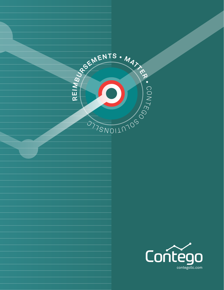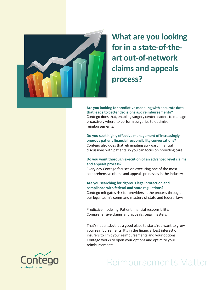

**What are you looking for in a state-of-theart out-of-network claims and appeals process?**

**Are you looking for predictive modeling with accurate data that leads to better decisions and reimbursements?**  Contego does that, enabling surgery center leaders to manage proactively where to perform surgeries to optimize reimbursements.

#### **Do you seek highly effective management of increasingly onerous patient financial responsibility conversations?**

Contego also does that, eliminating awkward financial discussions with patients so you can focus on providing care.

#### **Do you want thorough execution of an advanced level claims and appeals process?**

Every day Contego focuses on executing one of the most comprehensive claims and appeals processes in the industry.

#### **Are you searching for rigorous legal protection and compliance with federal and state regulations?**

Contego mitigates risk for providers in the process through our legal team's command mastery of state and federal laws.

Predictive modeling. Patient financial responsibility. Comprehensive claims and appeals. Legal mastery.

That's not all…but it's a good place to start. You want to grow your reimbursements. It's in the financial best interest of insurers to limit your reimbursements and your options. Contego works to open your options and optimize your reimbursements.

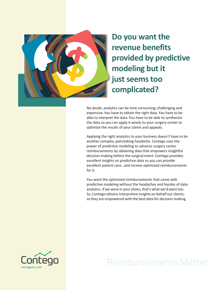

**Do you want the revenue benefits provided by predictive modeling but it just seems too complicated?**

No doubt, analytics can be time consuming, challenging and expensive. You have to obtain the right data. You have to be able to interpret the data. You have to be able to synthesize the data so you can apply it wisely to your surgery center to optimize the results of your claims and appeals.

Applying the right analytics to your business doesn't have to be another complex, painstaking headache. Contego uses the power of predictive modeling to advance surgery center reimbursements by obtaining data that empowers insightful decision-making before the surgical event. Contego provides excellent insights on predictive data so you can provide excellent patient care…and receive optimized reimbursements for it.

You want the optimized reimbursements that come with predictive modeling without the headaches and hassles of data analytics. If we were in your shoes, that's what we'd want too. So ,Contego obtains interpretive insights on behalf our clients, so they are empowered with the best data for decision-making.

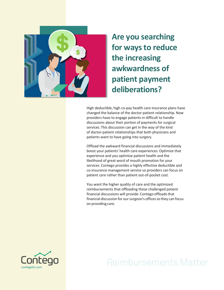

**Are you searching for ways to reduce the increasing awkwardness of patient payment deliberations?**

High deductible, high co-pay health care insurance plans have changed the balance of the doctor-patient relationship. Now providers have to engage patients in difficult to handle discussions about their portion of payments for surgical services. This discussion can get in the way of the kind of doctor-patient relationships that both physicians and patients want to have going into surgery.

Offload the awkward financial discussions and immediately boost your patients' health care experiences. Optimize that experience and you optimize patient health and the likelihood of great word of mouth promotion for your services. Contego provides a highly effective deductible and co-insurance management service so providers can focus on patient care rather than patient out-of-pocket cost.

You want the higher quality of care and the optimized reimbursements that offloading these challenged patient financial discussions will provide. Contego offloads that financial discussion for our surgeon's offices so they can focus on providing care.

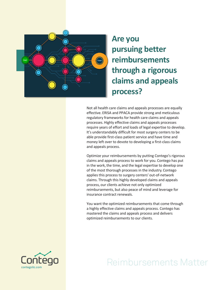

**Are you pursuing better reimbursements through a rigorous claims and appeals process?**

Not all health care claims and appeals processes are equally effective. ERISA and PPACA provide strong and meticulous regulatory frameworks for health care claims and appeals processes. Highly effective claims and appeals processes require years of effort and loads of legal expertise to develop. It's understandably difficult for most surgery centers to be able provide first-class patient service and have time and money left over to devote to developing a first-class claims and appeals process.

Optimize your reimbursements by putting Contego's rigorous claims and appeals process to work for you. Contego has put in the work, the time, and the legal expertise to develop one of the most thorough processes in the industry. Contego applies this process to surgery centers' out-of-network claims. Through this highly developed claims and appeals process, our clients achieve not only optimized reimbursements, but also peace of mind and leverage for insurance contract renewals.

You want the optimized reimbursements that come through a highly effective claims and appeals process. Contego has mastered the claims and appeals process and delivers optimized reimbursements to our clients.

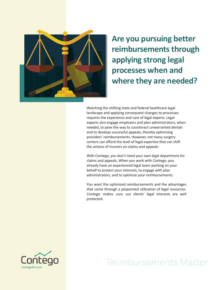

**Are you pursuing better reimbursements through applying strong legal processes when and where they are needed?**

Watching the shifting state and federal healthcare legal landscape and applying consequent changes to processes requires the experience and care of legal experts. Legal experts also engage employers and plan administrators, when needed, to pave the way to counteract unwarranted denials and to develop successful appeals, thereby optimizing providers' reimbursements. However, not many surgery centers can afford the level of legal expertise that can shift the actions of insurers on claims and appeals.

With Contego, you don't need your own legal department for claims and appeals. When you work with Contego, you already have an experienced legal team working on your behalf to protect your interests, to engage with plan administrators, and to optimize your reimbursements.

You want the optimized reimbursements and the advantages that come through a pinpointed utilization of legal resources. Contego makes sure our clients' legal interests are well protected.

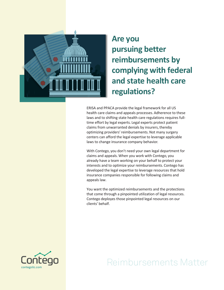

**Are you pursuing better reimbursements by complying with federal and state health care regulations?**

ERISA and PPACA provide the legal framework for all US health care claims and appeals processes. Adherence to these laws and to shifting state health care regulations requires fulltime effort by legal experts. Legal experts protect patient claims from unwarranted denials by insurers, thereby optimizing providers' reimbursements. Not many surgery centers can afford the legal expertise to leverage applicable laws to change insurance company behavior.

With Contego, you don't need your own legal department for claims and appeals. When you work with Contego, you already have a team working on your behalf to protect your interests and to optimize your reimbursements. Contego has developed the legal expertise to leverage resources that hold insurance companies responsible for following claims and appeals law.

You want the optimized reimbursements and the protections that come through a pinpointed utilization of legal resources. Contego deployes those pinpointed legal resources on our clients' behalf.

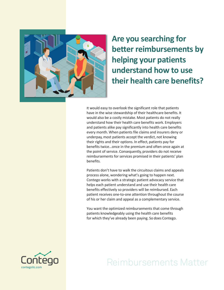

**Are you searching for better reimbursements by helping your patients understand how to use their health care benefits?**

It would easy to overlook the significant role that patients have in the wise stewardship of their healthcare benefits. It would also be a costly mistake. Most patients do not really understand how their health care benefits work. Employers and patients alike pay significantly into health care benefits every month. When patients file claims and insurers deny or underpay, most patients accept the verdict, not knowing their rights and their options. In effect, patients pay for benefits twice…once in the premium and often once again at the point of service. Consequently, providers do not receive reimbursements for services promised in their patients' plan benefits.

Patients don't have to walk the circuitous claims and appeals process alone, wondering what's going to happen next. Contego works with a strategic patient advocacy service that helps each patient understand and use their health care benefits effectively so providers will be reimbursed. Each patient receives one-to-one attention throughout the course of his or her claim and appeal as a complementary service.

You want the optimized reimbursements that come through patients knowledgeably using the health care benefits for which they've already been paying. So does Contego.